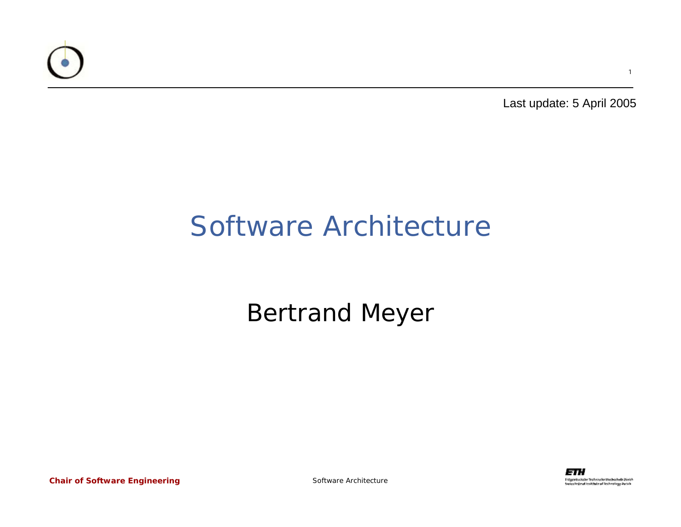

Last update: 5 April 2005

1

#### Software Architecture

#### Bertrand Meyer

*Chair of Software Engineering*

Software Architecture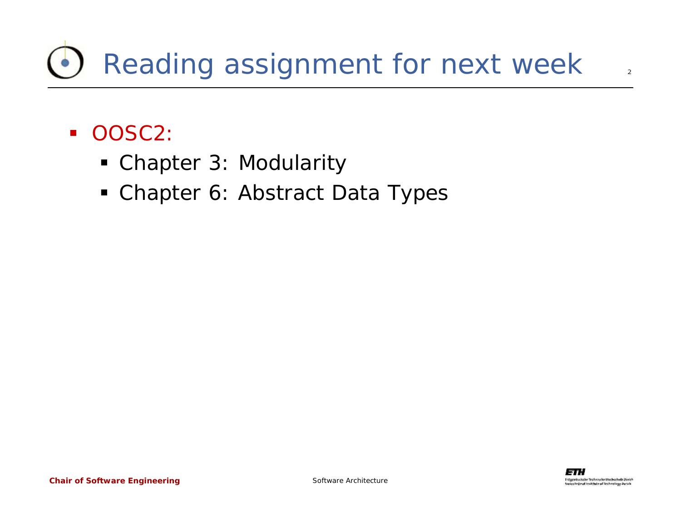## Reading assignment for next week

- OOSC2:
	- Chapter 3: Modularity
	- Chapter 6: Abstract Data Types

 $\overline{2}$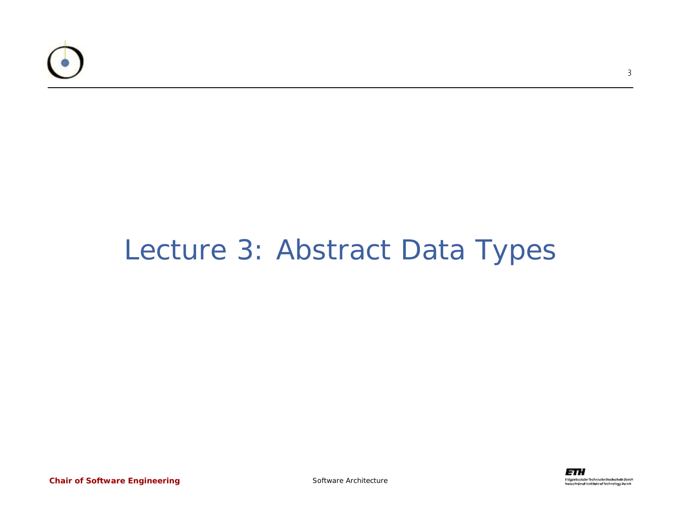

#### Lecture 3: Abstract Data Types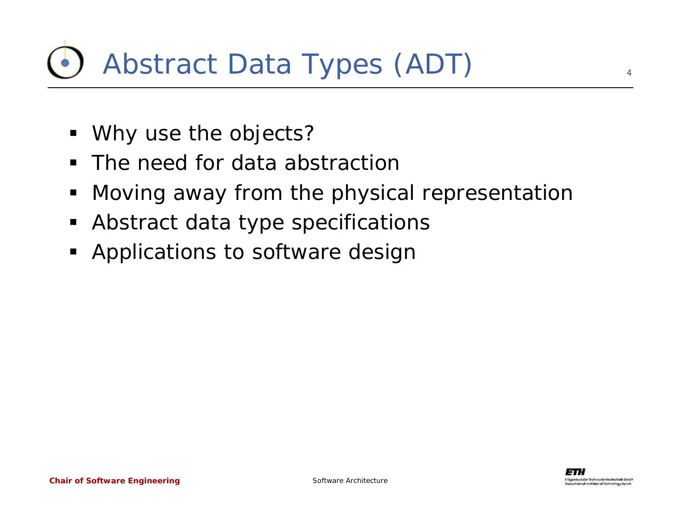#### Abstract Data Types (ADT)

- Why use the objects?
- The need for data abstraction
- ٠ Moving away from the physical representation
- $\blacksquare$ Abstract data type specifications
- **Applications to software design**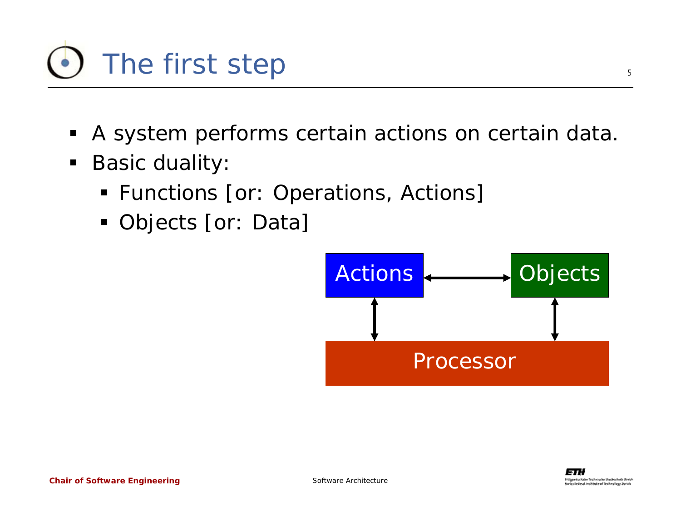

- $\blacksquare$ A system performs certain actions on certain data.
- $\blacksquare$  Basic duality:
	- **Functions [or: Operations, Actions]**
	- Objects [or: Data]

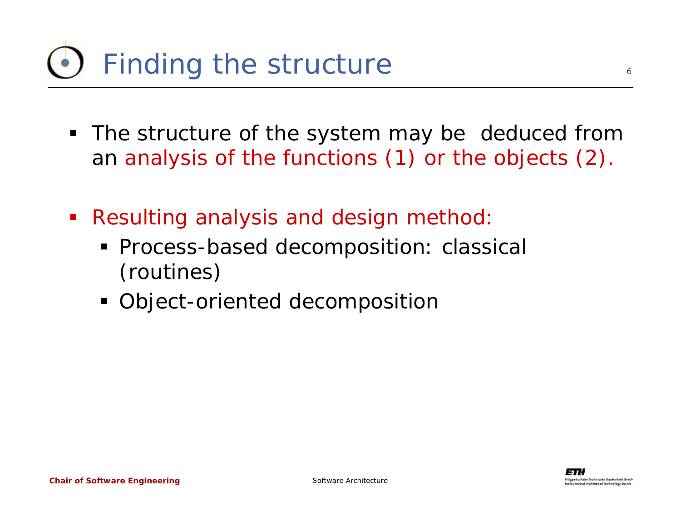#### Finding the structure

- The structure of the system may be deduced from an analysis of the functions (1) or the objects (2).
- $\mathcal{L}_{\mathcal{A}}$  Resulting analysis and design method:
	- **Process-based decomposition: classical** (routines)
	- Object-oriented decomposition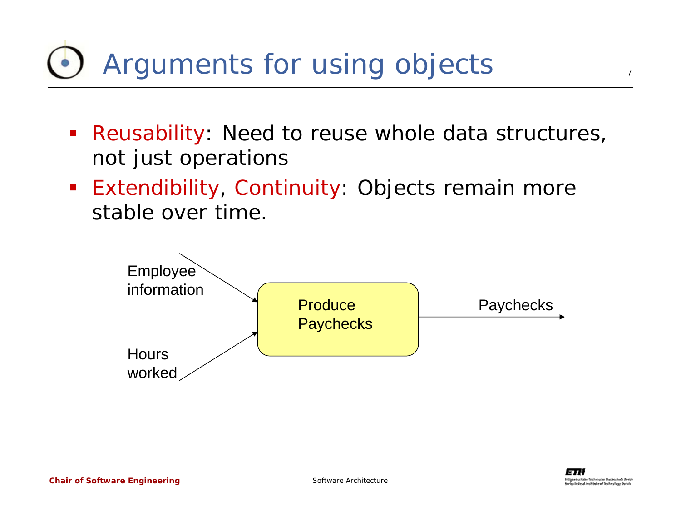#### Arguments for using objects

- **Reusability:** Need to reuse whole data structures, not just operations
- **Extendibility, Continuity: Objects remain more** stable over time.



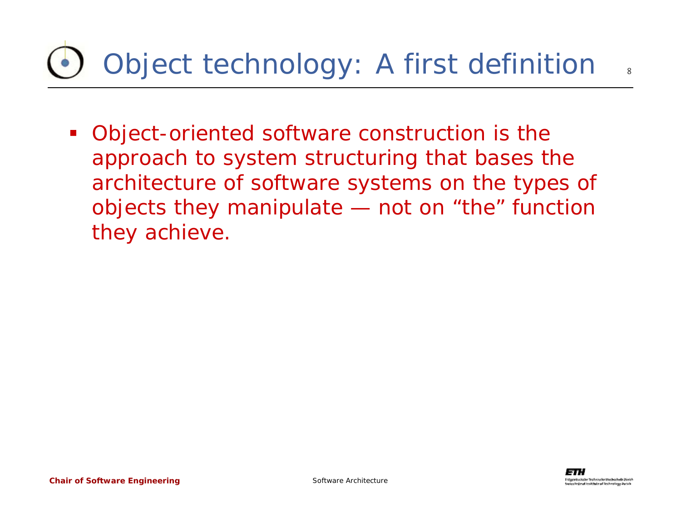# Object technology: A first definition

 Object-oriented software construction is the approach to system structuring that bases the architecture of software systems on the types of objects they manipulate — not on "the" function they achieve.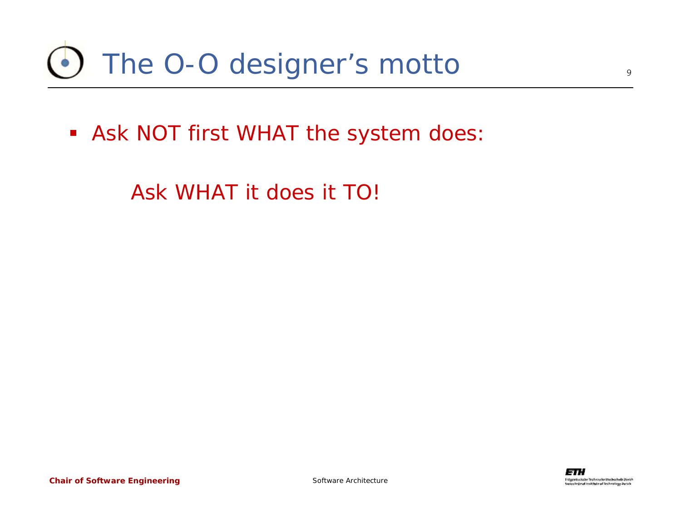#### The O-O designer's motto

Ask NOT first WHAT the system does:

Ask WHAT it does it TO!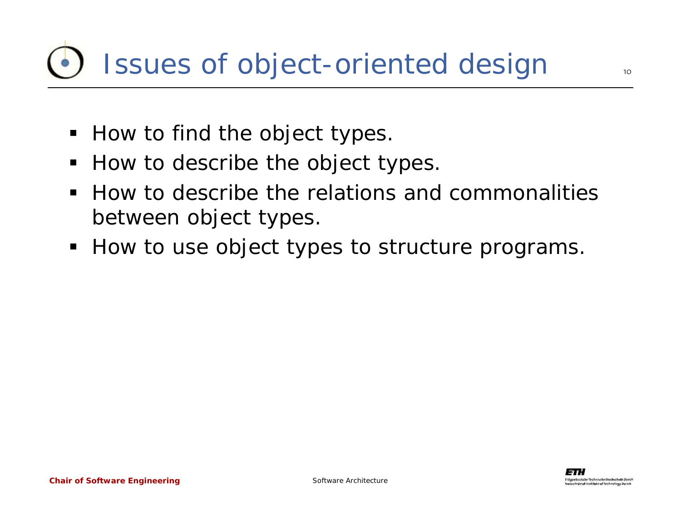#### Issues of object-oriented design

- $\blacksquare$  How to find the object types.
- How to describe the object types.
- $\blacksquare$  How to describe the relations and commonalities between object types.
- **How to use object types to structure programs.**

 $1<sub>O</sub>$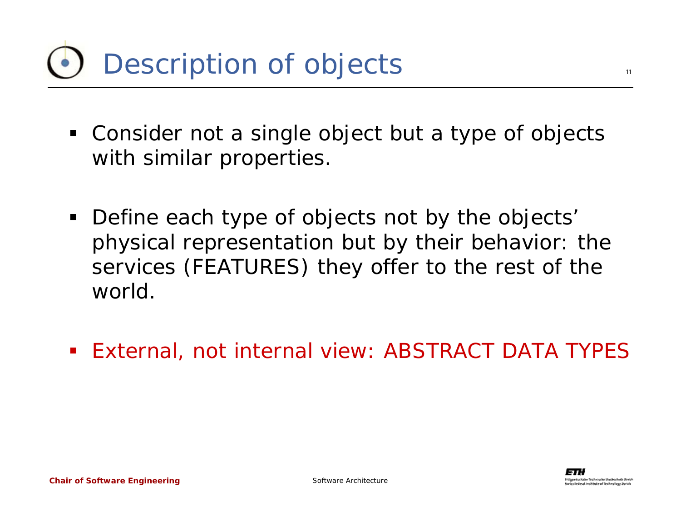#### Description of objects

- Consider not a single object but a type of objects with similar properties.
- Define each type of objects not by the objects' physical representation but by their behavior: the services (FEATURES) they offer to the rest of the world.
- $\mathcal{L}_{\text{max}}$ External, not internal view: ABSTRACT DATA TYPES

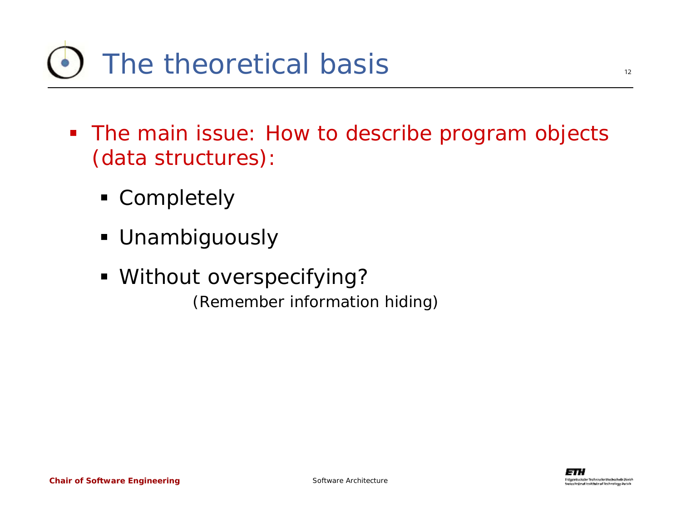#### The theoretical basis

- The main issue: How to describe program objects (data structures):
	- **Completely**
	- Unambiguously
	- Without overspecifying? (Remember information hiding)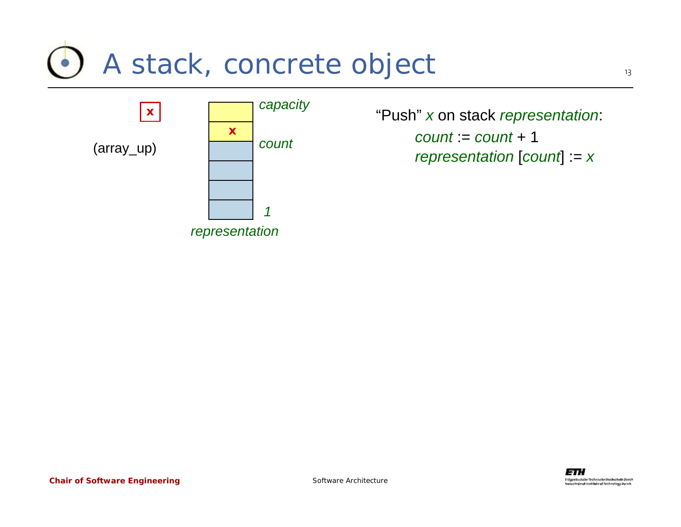#### A stack, concrete object



 "Push" *x* on stack *representation*: *representation* [*count*] := *<sup>x</sup> count* := *count* + 1 *<sup>x</sup> count*



*Chair of Software Engineering*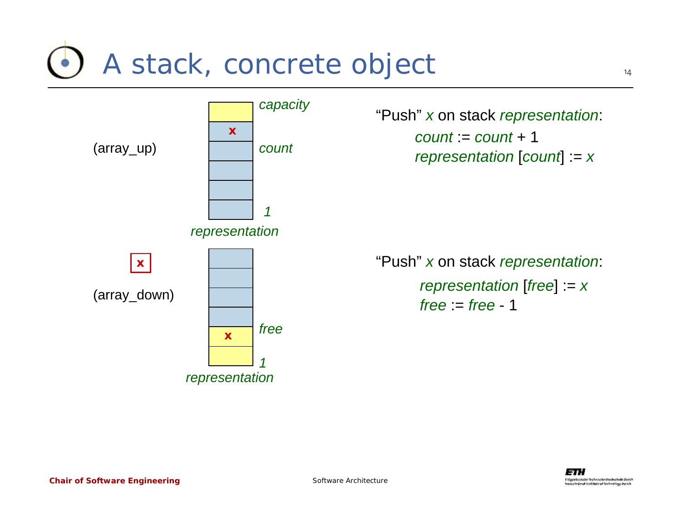#### A stack, concrete object



*capacity* "Push" *x* on stack *representation*: *representation* [*count*] := *<sup>x</sup> count* := *count* + 1

> "Push" *<sup>x</sup>* on stack *representation*:  $free = free - 1$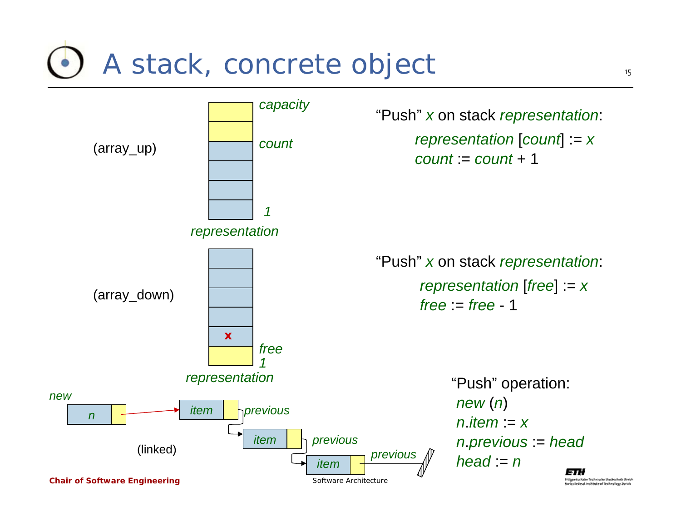#### A stack, concrete object

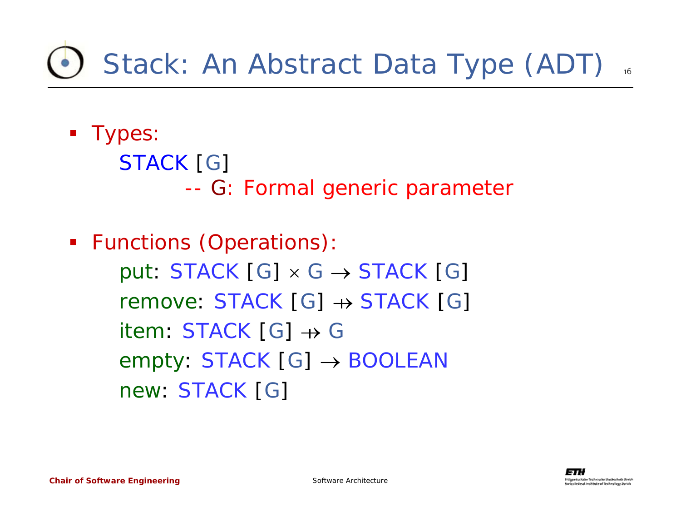## Stack: An Abstract Data Type (ADT)

**Types:** 

*STACK* [*G*] --*G*: Formal generic parameter

 Functions (Operations): *put*:  $STACK[G] \times G \rightarrow STACK[G]$ *remove*: *STACK* [*G*] <sup>→</sup> *STACK* [*G*] *item*: *STACK* [*G*] <sup>→</sup> *G empty*: *STACK* [*G*] <sup>→</sup> *BOOLEAN new*: *STACK* [*G*]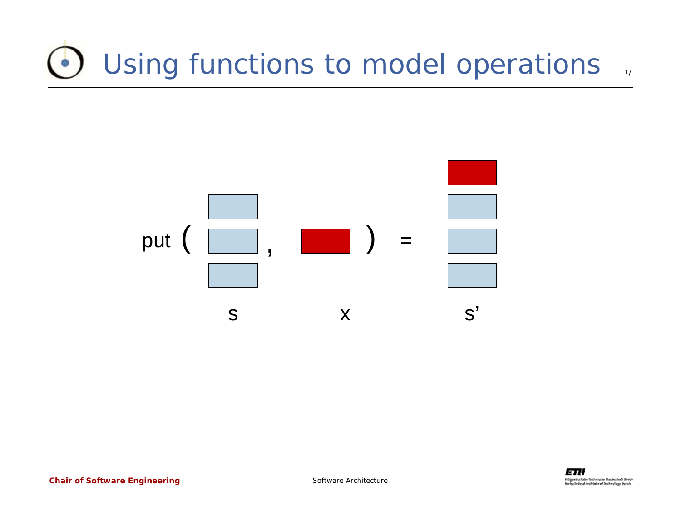#### Using functions to model operations  $\frac{1}{17}$

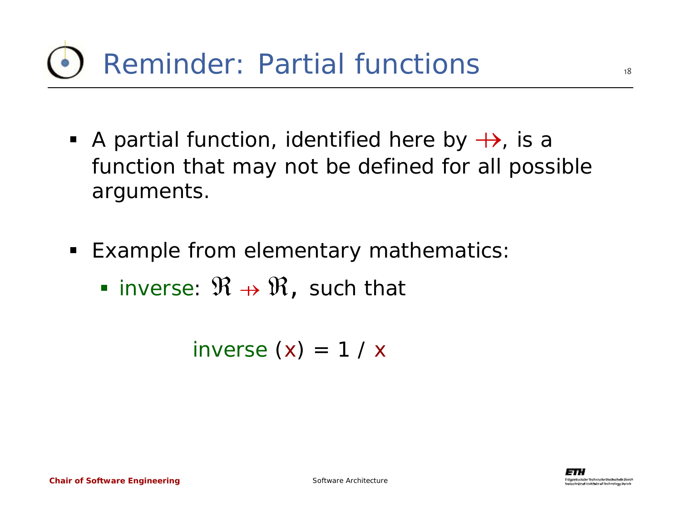- A partial function, identified here by  $\leftrightarrow$ , is a function that may not be defined for all possible arguments.
- Example from elementary mathematics:
	- inverse:  $\mathfrak{R} \rightarrow \mathfrak{R}$ , such that

*inverse* (*x*) *<sup>=</sup>*1 / *<sup>x</sup>*

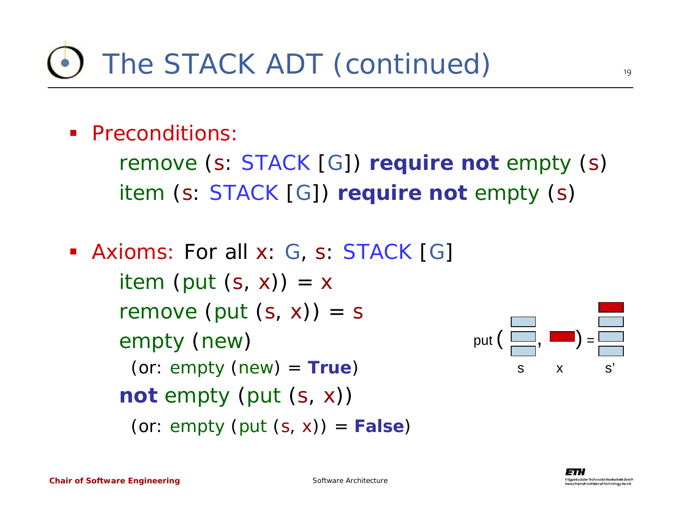**Preconditions:** 

*remove* (*<sup>s</sup>*: *STACK* [*G*]) **require not** *empty* (*s*) *item* (*<sup>s</sup>*: *STACK* [*G*]) **require not** *empty* (*s*)

 Axioms: For all *x*: *G*, *s*: *STACK* [*G*] *item* (*put* (*s, x*)) *= x remove* (*put* (*s, x*)) *= s empty* (*new*) (or: *empty* (*new*) *<sup>=</sup>***True**) **not** *empty* (*put* (*<sup>s</sup>*, *<sup>x</sup>*)) (or: *empty* (*put* (*<sup>s</sup>*, *<sup>x</sup>*)) = **False**)

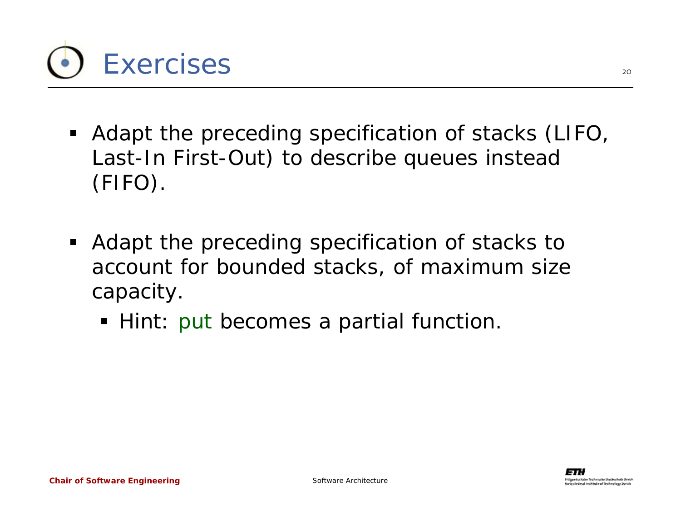

- Adapt the preceding specification of stacks (LIFO, Last-In First-Out) to describe queues instead (FIFO).
- Adapt the preceding specification of stacks to account for bounded stacks, of maximum size capacity.
	- Hint: *put* becomes a partial function.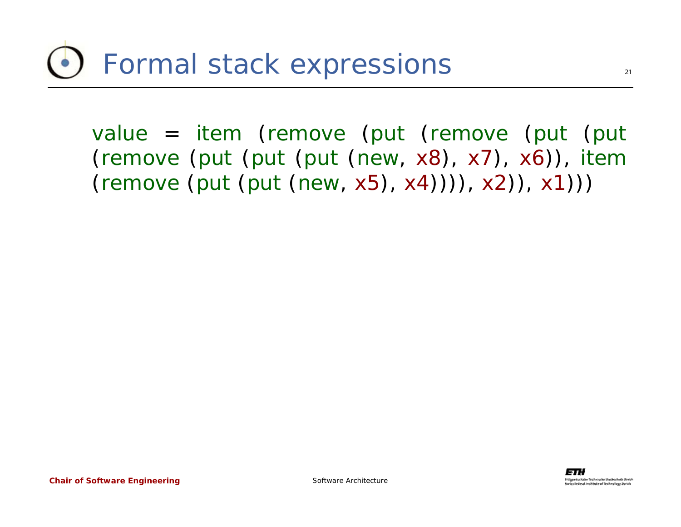*value* = *item* (*remove* (*put* (*remove* (*put* (*put* (*remove* (*put* (*put* (*put* (*new*, *x8*), *x7*), *x6*)), *item* (*remove* (*put* (*put* (*new*, *x5*), *x4*)))), *x2*)), *x1*)))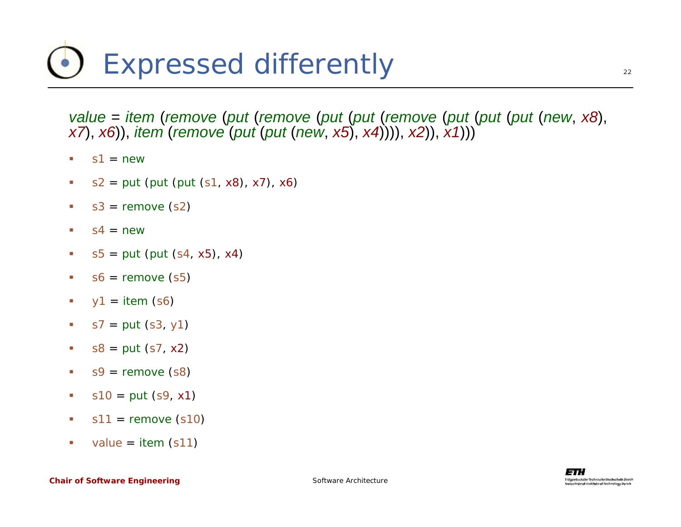## Expressed differently

*value* = *item* (*remove* (*put* (*remove* (*put* (*put* (*remove* (*put* (*put* (*put* (*new*, *x8*), *x7*), *x6*)), *item* (*remove* (*put* (*put* (*new*, *x5*), *x4*)))), *x2*)), *x1*)))

- ٠ *s1* <sup>=</sup>*new*
- ш *s2* <sup>=</sup>*put* (*put* (*put* (*s1*, *x8*), *x7*), *x6*)
- $\mathcal{L}_{\mathcal{A}}$ *s3* <sup>=</sup>*remove* (*s2*)
- $\mathcal{L}_{\mathcal{A}}$ *s4* <sup>=</sup>*new*
- $\mathcal{L}_{\mathcal{A}}$ *s5* <sup>=</sup>*put* (*put* (*s4*, *x5*), *x4*)
- $\overline{\phantom{a}}$ *s6* <sup>=</sup>*remove* (*s5*)
- $\mathcal{L}_{\mathcal{A}}$ *y<sup>1</sup>* <sup>=</sup>*item* (*s6*)
- $\overline{\phantom{a}}$ *s7* <sup>=</sup>*put* (*s3*, *y1*)
- $\mathcal{L}_{\mathcal{A}}$ *s8* <sup>=</sup>*put* (*s7*, *x2*)
- $\mathcal{C}$ *s9* <sup>=</sup>*remove* (*s8*)
- $\mathcal{L}_{\mathcal{A}}$ *s10* <sup>=</sup>*put* (*s9*, *x1*)
- u. *s11* <sup>=</sup>*remove* (*s10*)
- $\mathcal{L}_{\mathcal{A}}$ *value* <sup>=</sup>*item* (*s11*)

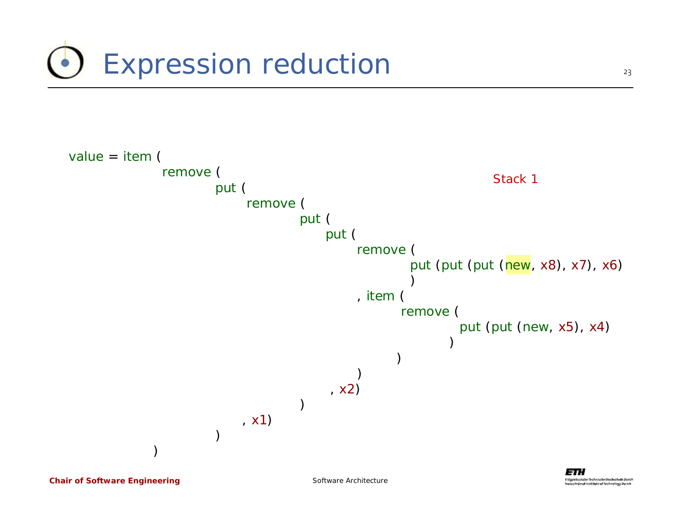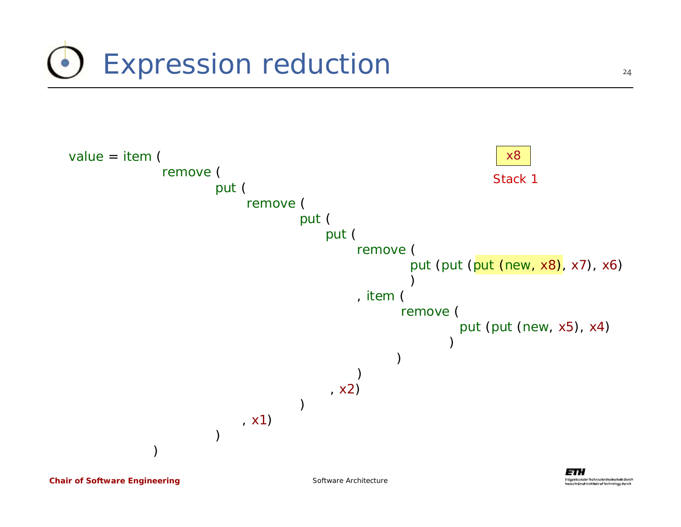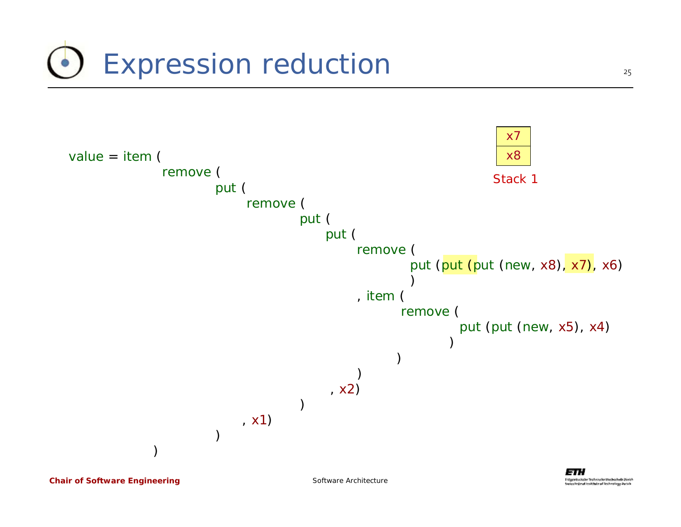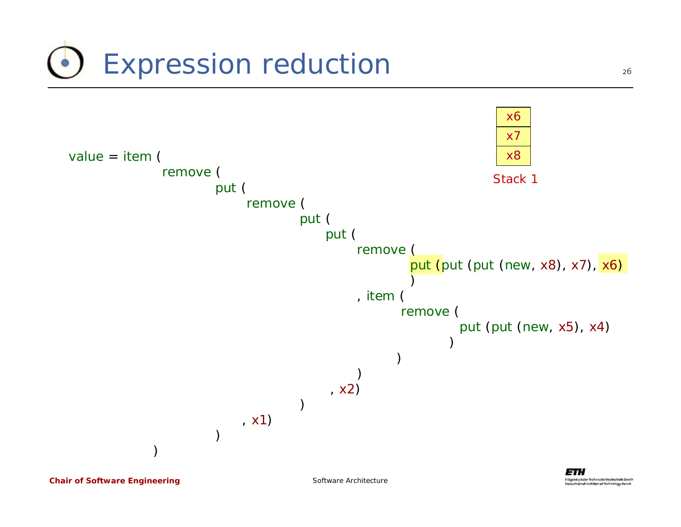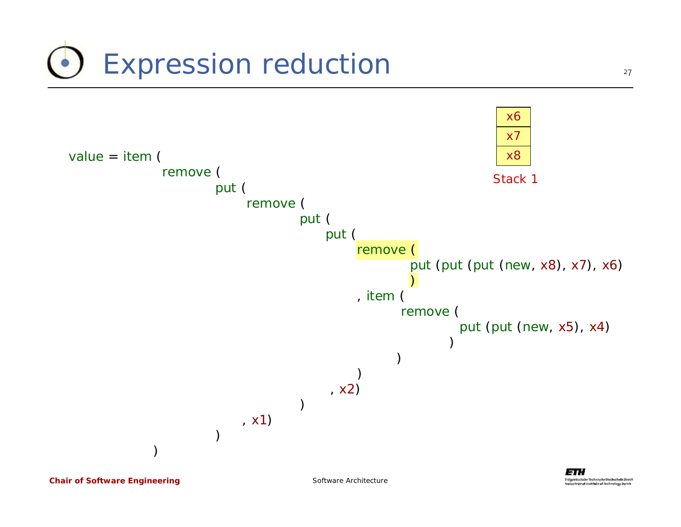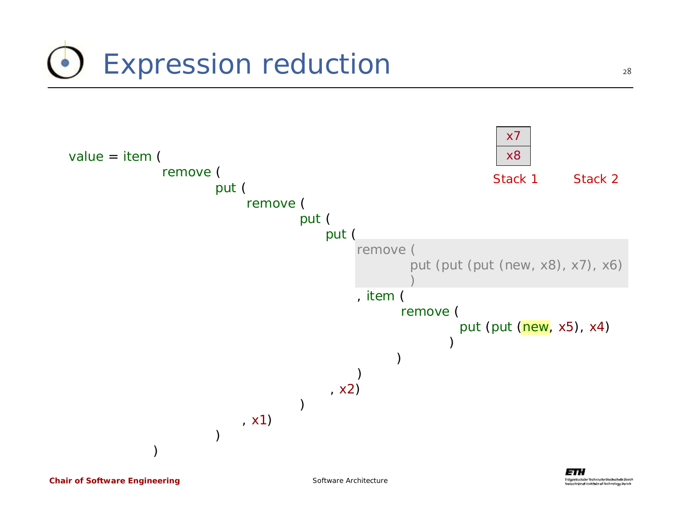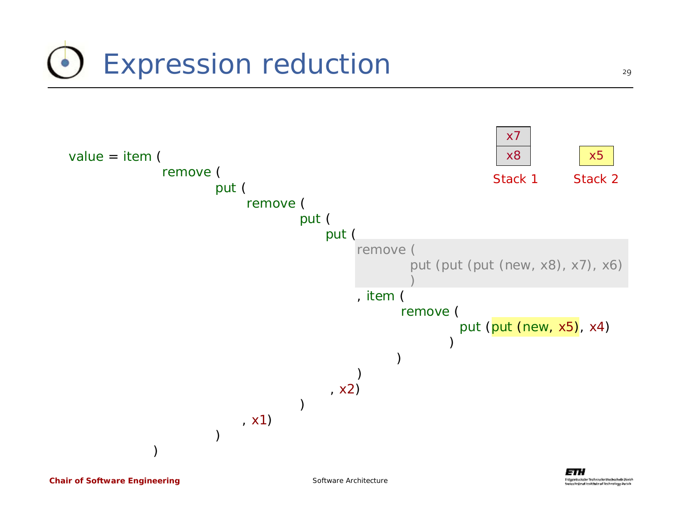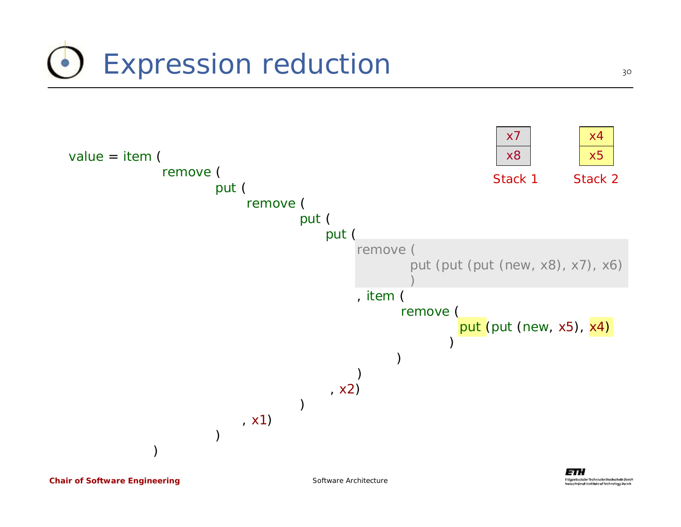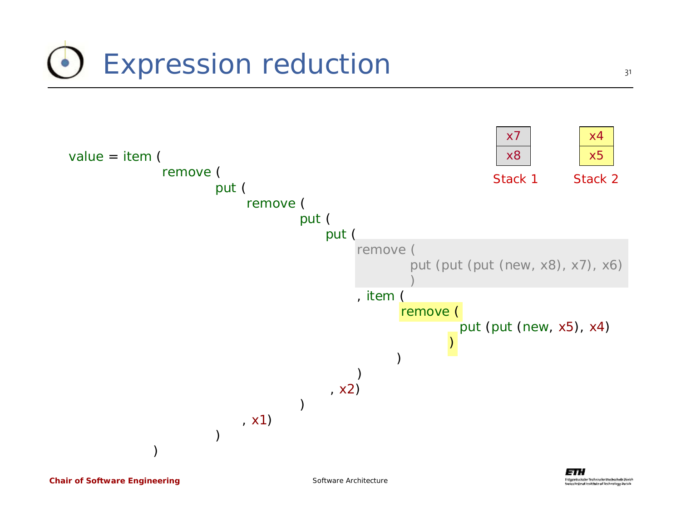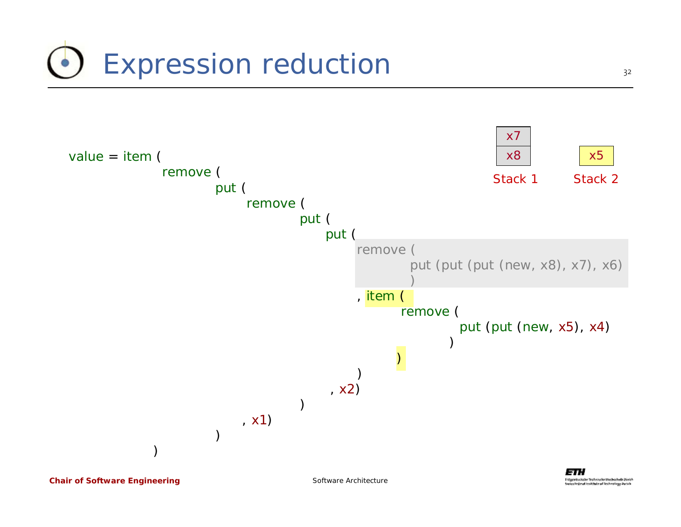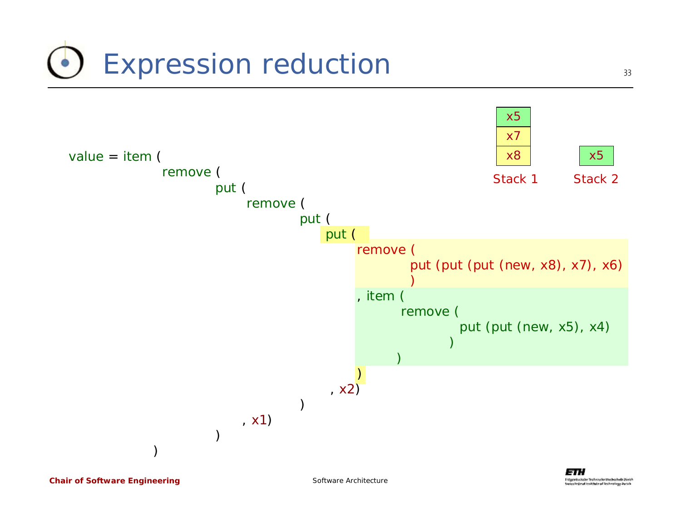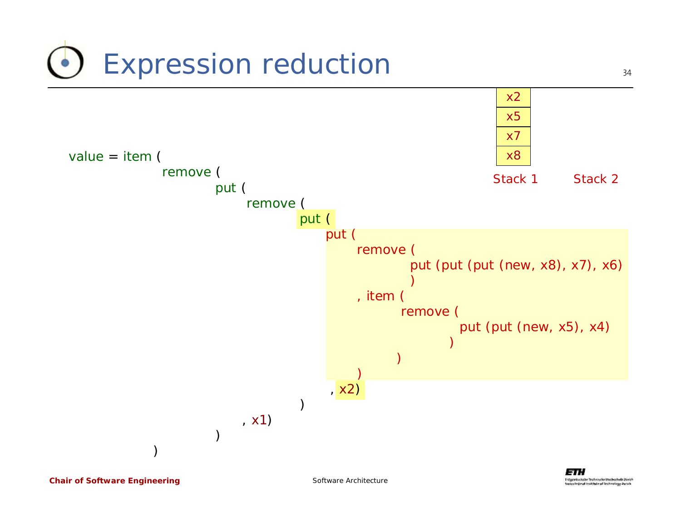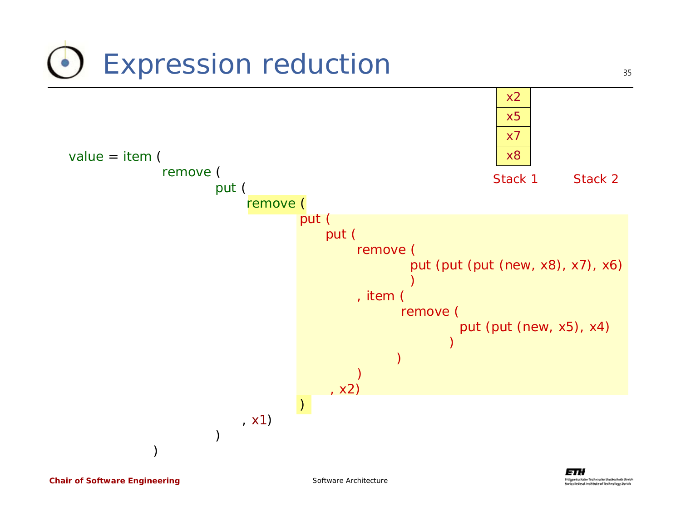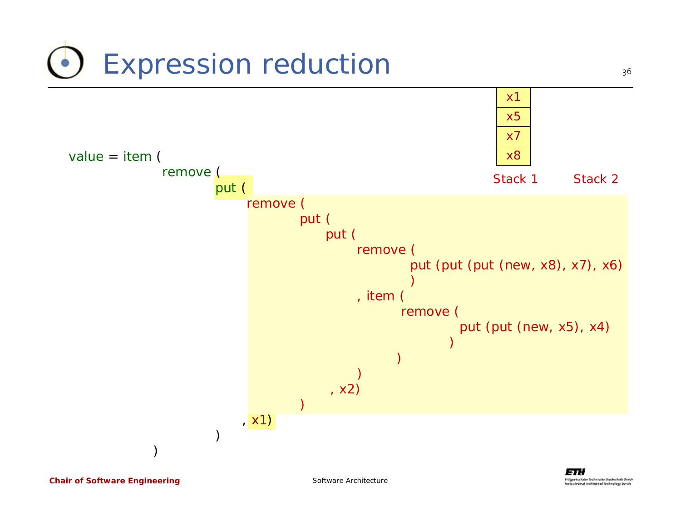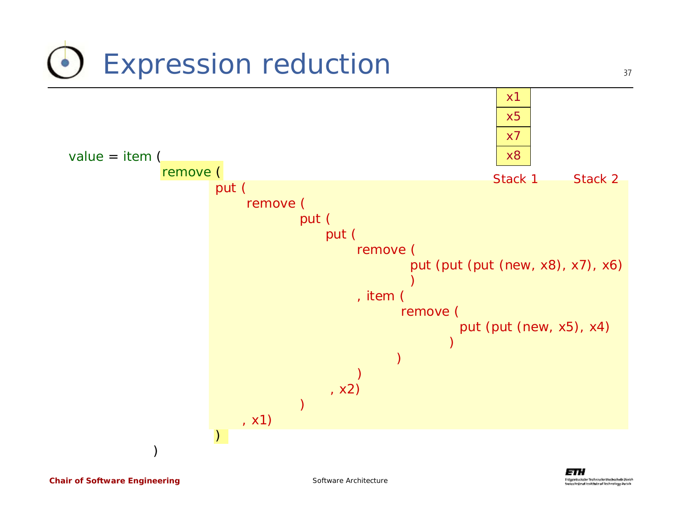

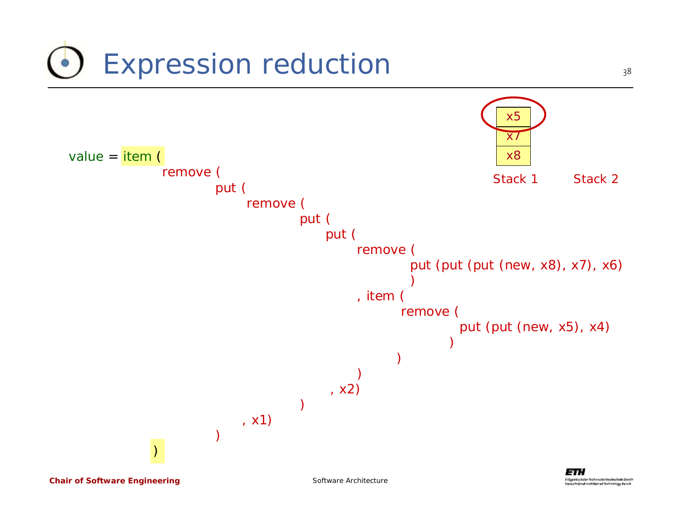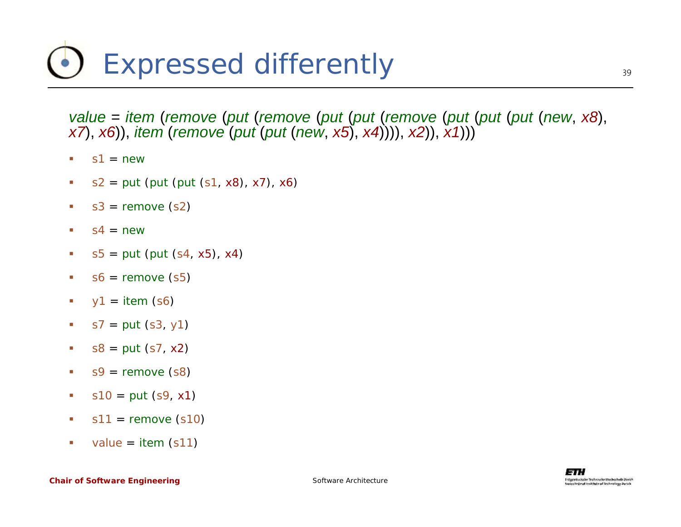## Expressed differently

*value* = *item* (*remove* (*put* (*remove* (*put* (*put* (*remove* (*put* (*put* (*put* (*new*, *x8*), *x7*), *x6*)), *item* (*remove* (*put* (*put* (*new*, *x5*), *x4*)))), *x2*)), *x1*)))

- ٠ *s1* <sup>=</sup>*new*
- ш *s2* <sup>=</sup>*put* (*put* (*put* (*s1*, *x8*), *x7*), *x6*)
- $\mathcal{L}_{\mathcal{A}}$ *s3* <sup>=</sup>*remove* (*s2*)
- $\mathcal{L}_{\mathcal{A}}$ *s4* <sup>=</sup>*new*
- $\mathcal{L}_{\mathcal{A}}$ *s5* <sup>=</sup>*put* (*put* (*s4*, *x5*), *x4*)
- $\overline{\phantom{a}}$ *s6* <sup>=</sup>*remove* (*s5*)
- $\mathcal{L}_{\mathcal{A}}$ *y<sup>1</sup>* <sup>=</sup>*item* (*s6*)
- $\overline{\phantom{a}}$ *s7* <sup>=</sup>*put* (*s3*, *y1*)
- $\mathcal{L}_{\mathcal{A}}$ *s8* <sup>=</sup>*put* (*s7*, *x2*)
- $\mathcal{C}$ *s9* <sup>=</sup>*remove* (*s8*)
- $\mathcal{L}_{\mathcal{A}}$ *s10* <sup>=</sup>*put* (*s9*, *x1*)
- u. *s11* <sup>=</sup>*remove* (*s10*)
- $\mathcal{L}_{\mathcal{A}}$ *value* <sup>=</sup>*item* (*s11*)

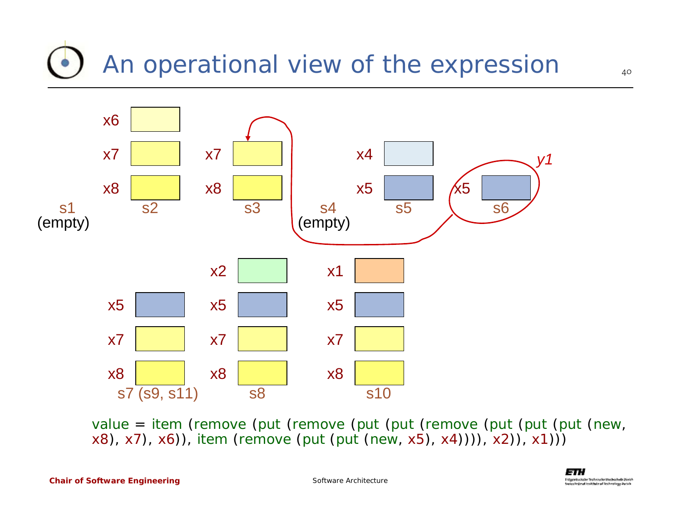#### An operational view of the expression



*value* = *item* (*remove* (*put* (*remove* (*put* (*put* (*remove* (*put* (*put* (*put* (*new*, *x8*), *x7*), *x6*)), *item* (*remove* (*put* (*put* (*new*, *x5*), *x4*)))), *x2*)), *x1*)))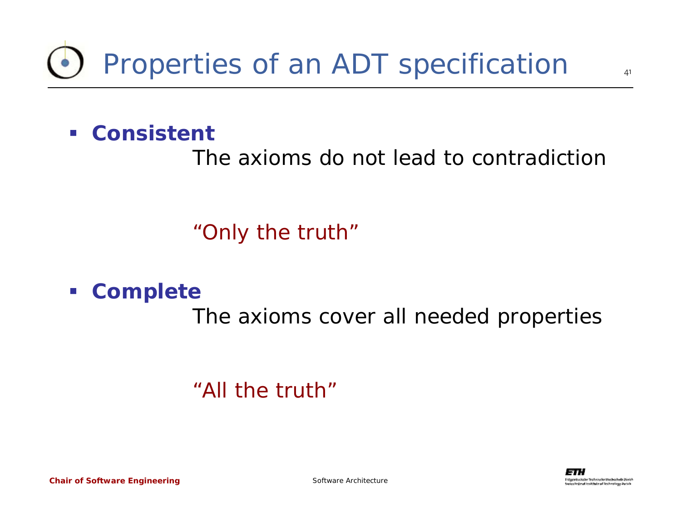#### **Consistent**

The axioms do not lead to contradiction

"Only the truth"

#### $\mathcal{L}_{\mathcal{A}}$ **Complete**

The axioms cover all needed properties

"All the truth"

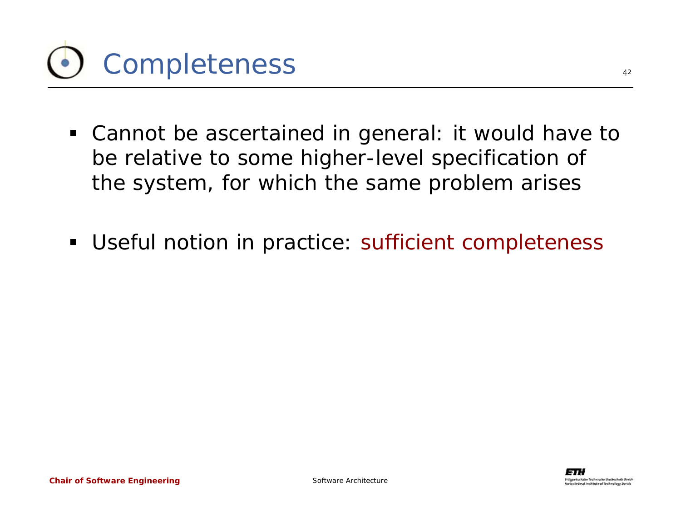

- Cannot be ascertained in general: it would have to be relative to some higher-level specification of the system, for which the same problem arises
- Useful notion in practice: sufficient completeness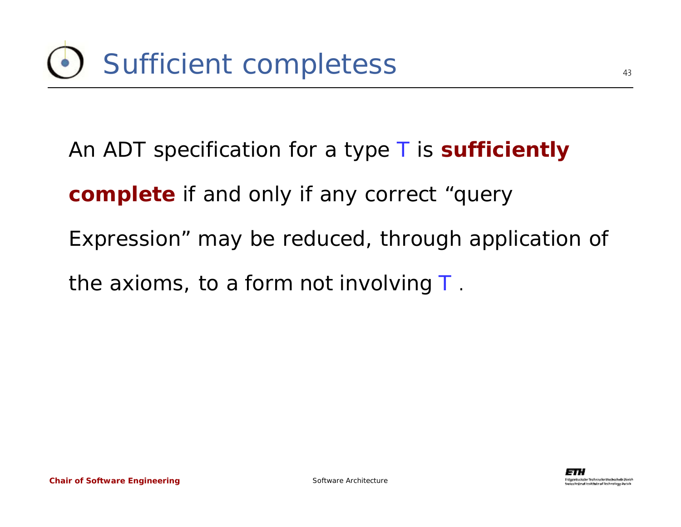An ADT specification for a type *T* is **sufficiently** 

**complete** if and only if any correct "query

Expression" may be reduced, through application of

the axioms, to a form not involving *T* .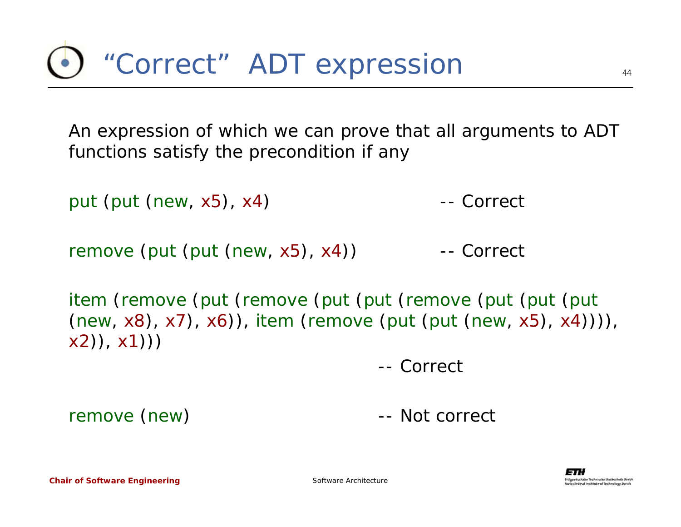An expression of which we can prove that all arguments to ADT functions satisfy the precondition if any

*put* (*put* (*new*, *x5*), *x4*) -- Correct

*remove* (*put* (*put* (*new*, *x5*), *x4*)) -- Correct

*item* (*remove* (*put* (*remove* (*put* (*put* (*remove* (*put* (*put* (*put* (*new*, *x8*), *x7*), *x6*)), *item* (*remove* (*put* (*put* (*new*, *x5*), *x4*)))), *x2*)), *x1*)))

-- Correct

*remove*

(*new*) -- Not correct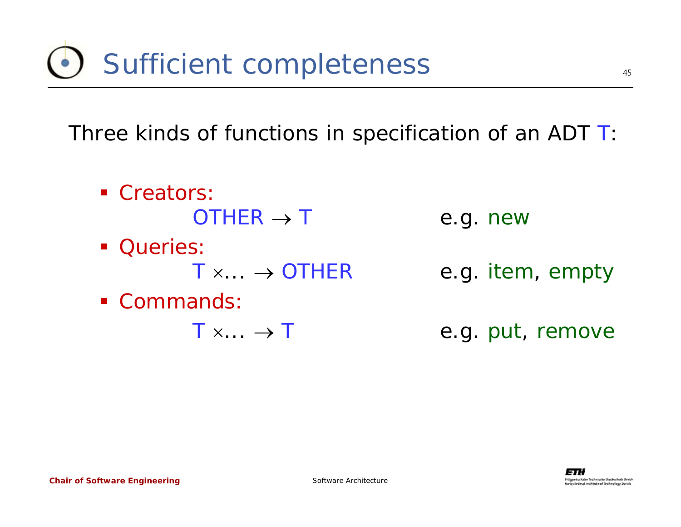Three kinds of functions in specification of an ADT *T*:

Creators:  $OTHER \rightarrow$  *T* e.g. *new* **Queries:**  $T \times \ldots \rightarrow$  *OTHER* e.g. *item*, *empty* Commands:  $T \times ... \rightarrow$ *T* e.g. *put, remove*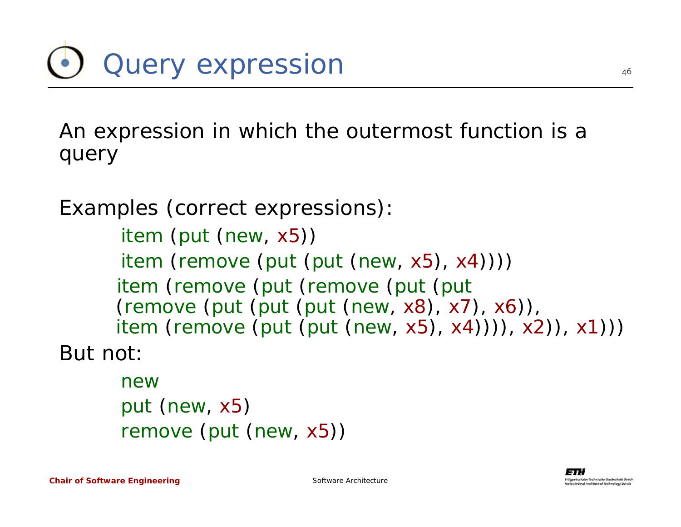An expression in which the outermost function is a query

Examples (correct expressions):

*item* (*put* (*new*, *x5*)) *item* (*remove* (*put* (*put* (*new*, *x5*), *x4*)))) *item* (*remove* (*put* (*remove* (*put* (*put* (*remove* (*put* (*put* (*put* (*new*, *x8*), *x7*), *x6*)), *item* (*remove* (*put* (*put* (*new*, *x5*), *x4*)))), *x2*)), *x1*)))

But not:

*newput* (*new*, *x5*) *remove* (*put* (*new*, *x5*))

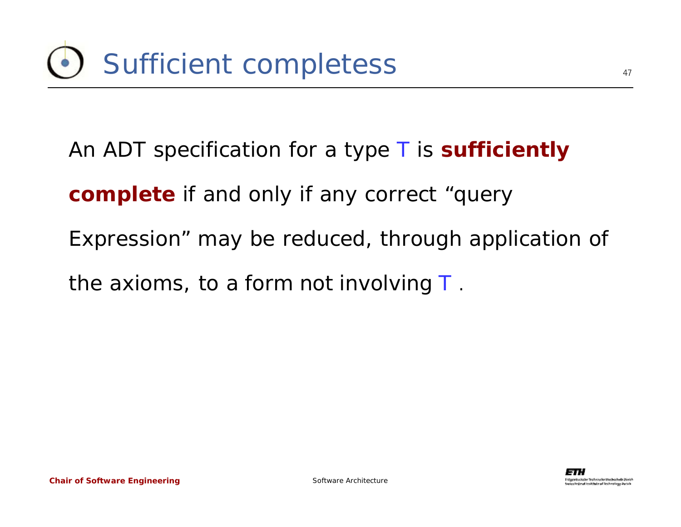An ADT specification for a type *T* is **sufficiently** 

**complete** if and only if any correct "query

Expression" may be reduced, through application of

the axioms, to a form not involving *T* .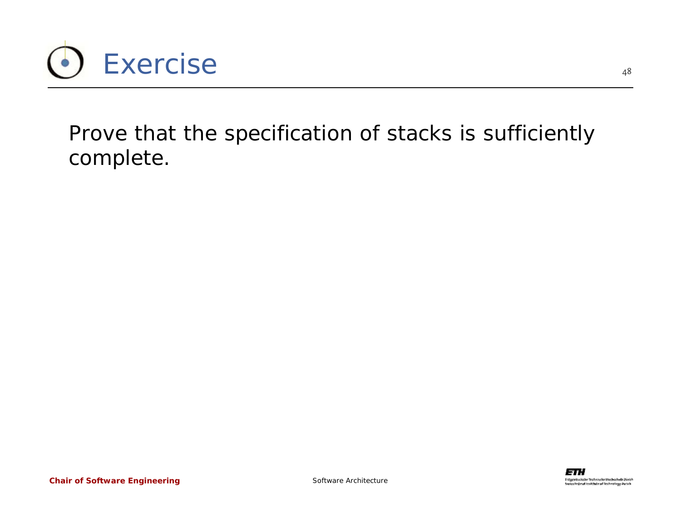

Prove that the specification of stacks is sufficiently complete.

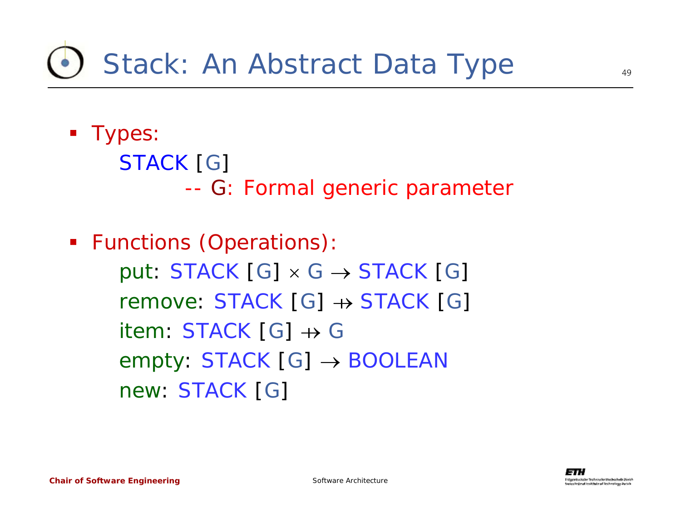#### Stack: An Abstract Data Type

**Types:** 

*STACK* [*G*] --*G*: Formal generic parameter

 Functions (Operations): *put*:  $STACK[G] \times G \rightarrow STACK[G]$ *remove*: *STACK* [*G*] <sup>→</sup> *STACK* [*G*] *item*: *STACK* [*G*] <sup>→</sup> *G empty*: *STACK* [*G*] <sup>→</sup> *BOOLEAN new*: *STACK* [*G*]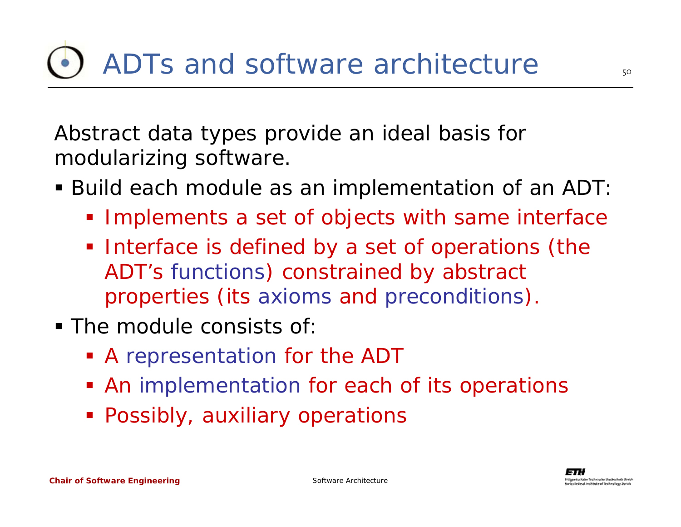Abstract data types provide an ideal basis for modularizing software.

- Build each module as an *implementation* of an ADT:
	- **Implements a set of** *objects* **with same** *interface*
	- **Interface is defined by a set of operations (the** ADT's functions) constrained by abstract properties (its axioms and preconditions).
- The module consists of:
	- A *representation* for the ADT
	- An *implementation* for each of its operations
	- Possibly, auxiliary operations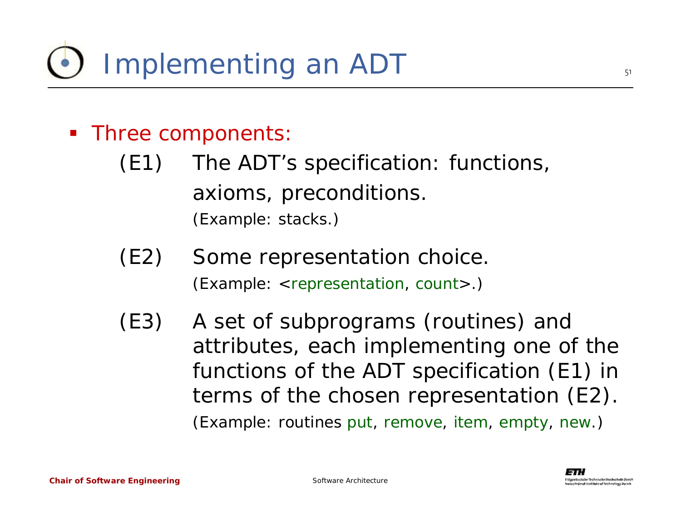#### **Three components:**

- (E1) The ADT's specification: functions, axioms, preconditions. (Example: stacks.)
- (E2) Some representation choice. (Example: <*representation*, *count*>.)
- (E3) A set of subprograms (routines) and attributes, each implementing one of the functions of the ADT specification (E1) in terms of the chosen representation (E2). (Example: routines *put*, *remove*, *item*, *empty*, *new*.)

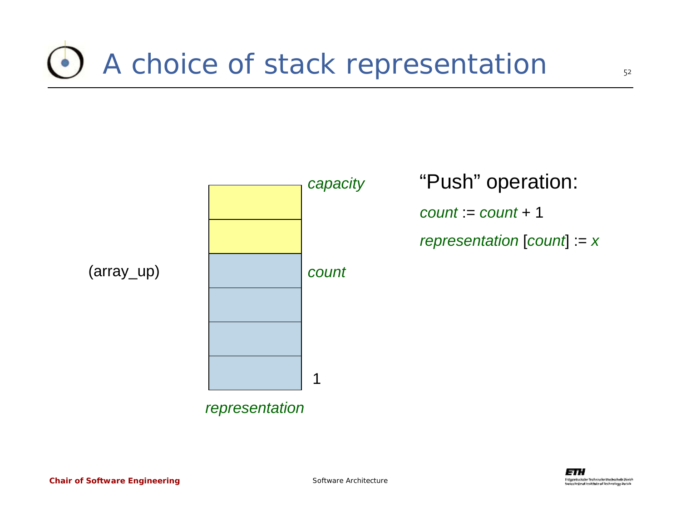#### A choice of stack representation



"Push" operation:

*count* := *count* + 1

*representation* [*count*] := *<sup>x</sup>*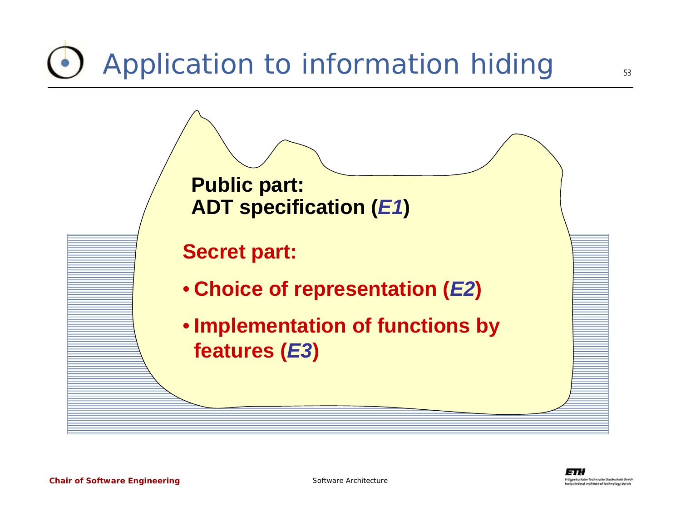# Application to information hiding



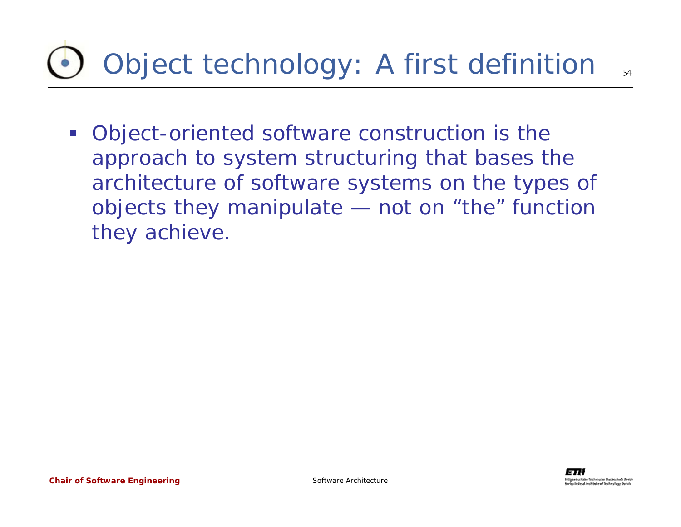# Object technology: A first definition

**• Object-oriented software construction is the** approach to system structuring that bases the architecture of software systems on the types of objects they manipulate — not on "the" function they achieve.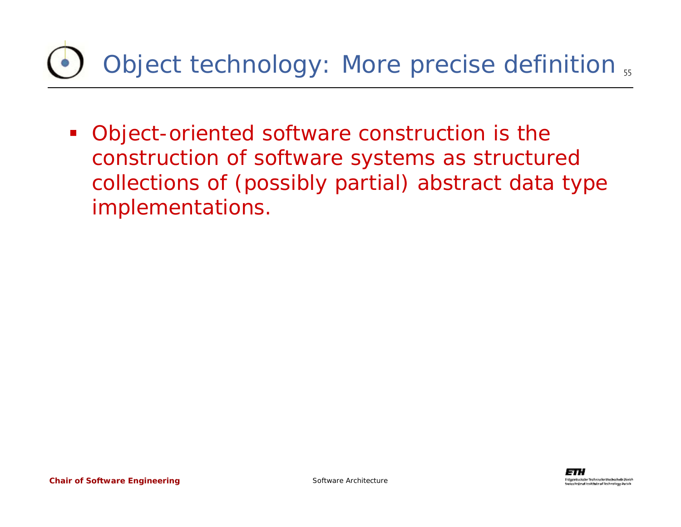#### Object technology: More precise definition  $_{\rm 55}$

 Object-oriented software construction is the construction of software systems as structured collections of (possibly partial) abstract data type implementations.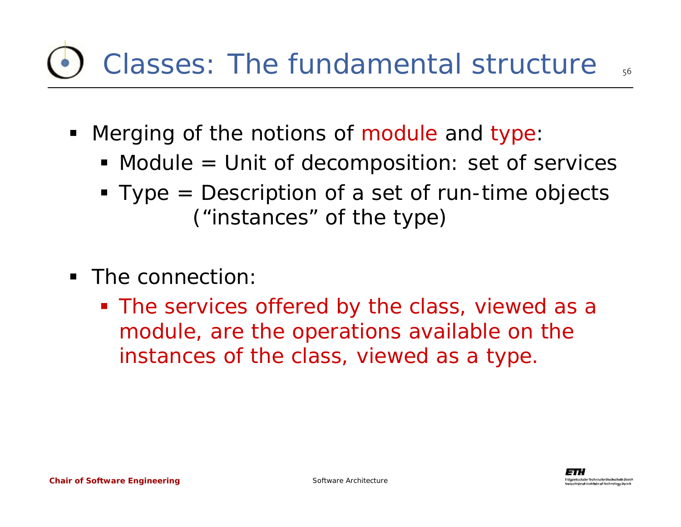## Classes: The fundamental structure

- $\blacksquare$  Merging of the notions of module and type:
	- Module = Unit of decomposition: set of services
	- Type = Description of a set of run-time objects ("instances" of the type)
- The connection:
	- **The services offered by the class, viewed as a** module, are the operations available on the instances of the class, viewed as a type.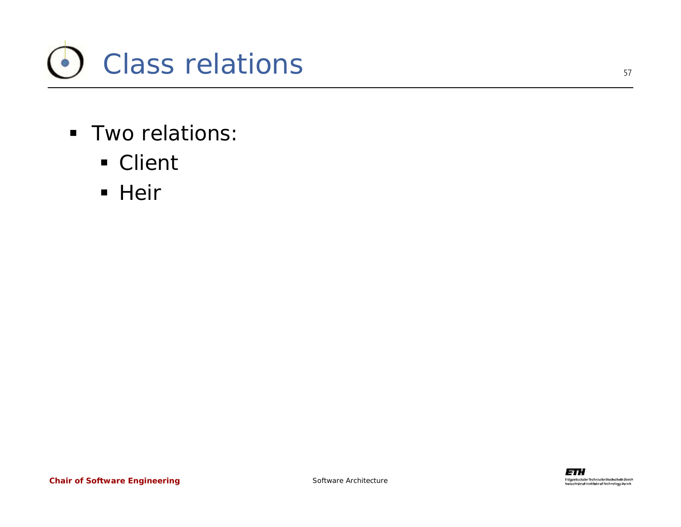

- Two relations:
	- Client
	- Heir

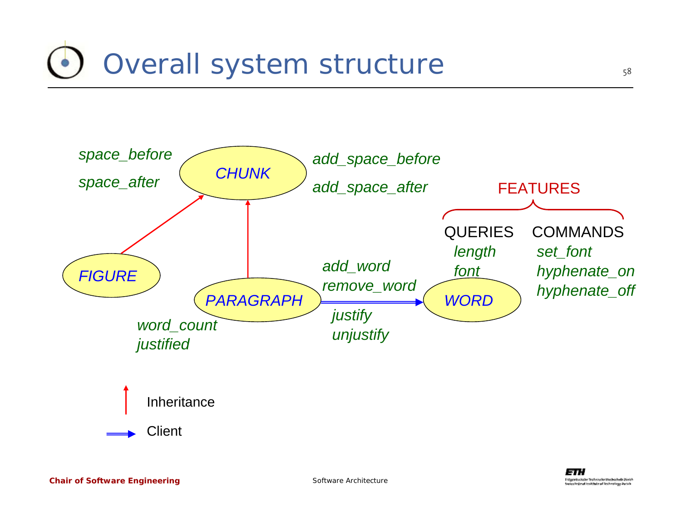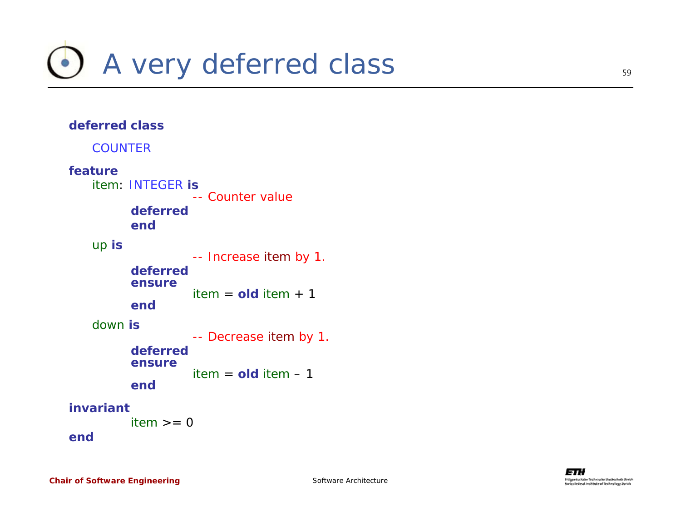

#### **deferred class***COUNTER***feature***item*: *INTEGER* **is** -- Counter value**deferredend***up* **is** -- Increase *item* by 1. **deferredensure***item* <sup>=</sup>**old** *item* + 1 **end***down* **is** -- Decrease *item* by 1. **deferredensure***item* <sup>=</sup>**old** *item* – 1 **endinvariant***item* >= 0 **end**